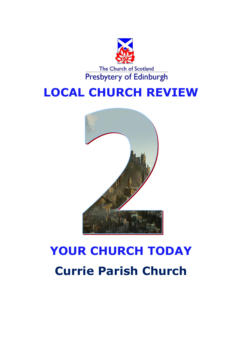

## **LOCAL CHURCH REVIEW**



# **YOUR CHURCH TODAY Currie Parish Church**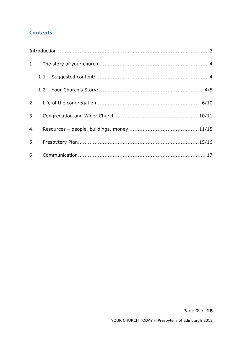## **Contents**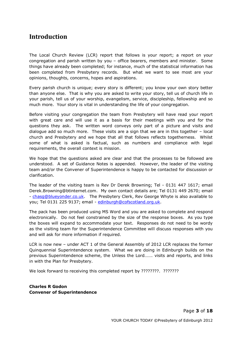## <span id="page-2-0"></span>**Introduction**

The Local Church Review (LCR) report that follows is your report; a report on your congregation and parish written by you – office bearers, members and minister. Some things have already been completed; for instance, much of the statistical information has been completed from Presbytery records. But what we want to see most are your opinions, thoughts, concerns, hopes and aspirations.

Every parish church is unique; every story is different; you know your own story better than anyone else. That is why you are asked to write your story, tell us of church life in your parish, tell us of your worship, evangelism, service, discipleship, fellowship and so much more. Your story is vital in understanding the life of your congregation.

Before visiting your congregation the team from Presbytery will have read your report with great care and will use it as a basis for their meetings with you and for the questions they ask. The written word conveys only part of a picture and visits and dialogue add so much more. These visits are a sign that we are in this together – local church and Presbytery and we hope that all that follows reflects togetherness. Whilst some of what is asked is factual, such as numbers and compliance with legal requirements, the overall context is mission.

We hope that the questions asked are clear and that the processes to be followed are understood. A set of Guidance Notes is appended. However, the leader of the visiting team and/or the Convener of Superintendence is happy to be contacted for discussion or clarification.

The leader of the visiting team is Rev Dr Derek Browning; Tel - 0131 447 1617; email Derek.Browning@btinternet.com. My own contact details are; Tel 0131 449 2670; email - [chasg@blueyonder.co.uk.](mailto:chasg@blueyonder.co.uk) The Presbytery Clerk, Rev George Whyte is also available to you; Tel 0131 225 9137; email - [edinburgh@cofscotland.org.uk.](mailto:edinburgh@cofscotland.org.uk)

The pack has been produced using MS Word and you are asked to complete and respond electronically. Do not feel constrained by the size of the response boxes. As you type the boxes will expand to accommodate your text. Responses do not need to be wordy as the visiting team for the Superintendence Committee will discuss responses with you and will ask for more information if required.

LCR is now new – under ACT 1 of the General Assembly of 2012 LCR replaces the former Quinquennial Superintendence system. What we are doing in Edinburgh builds on the previous Superintendence scheme, the Unless the Lord……. visits and reports, and links in with the Plan for Presbytery.

We look forward to receiving this completed report by ????????. ????????

**Charles R Godon Convener of Superintendence**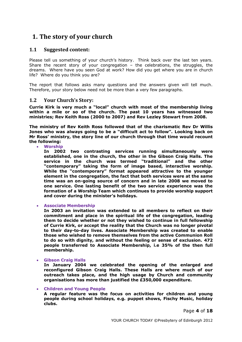## <span id="page-3-0"></span>**1. The story of your church**

#### <span id="page-3-1"></span>**1.1 Suggested content:**

Please tell us something of your church's history. Think back over the last ten years. Share the recent story of your congregation – the celebrations, the struggles, the dreams. Where have you seen God at work? How did you get where you are in church life? Where do you think you are?

The report that follows asks many questions and the answers given will tell much. Therefore, your story below need not be more than a very few paragraphs.

#### <span id="page-3-2"></span>**1.2 Your Church's Story:**

**Currie Kirk is very much a "local" church with most of the membership living within a mile or so of the church. The past 10 years has witnessed two ministries; Rev Keith Ross (2000 to 2007) and Rev Lezley Stewart from 2008.** 

**The ministry of Rev Keith Ross followed that of the charismatic Rev Dr Willis Jones who was always going to be a "difficult act to follow". Looking back on Mr Ross' ministry, the story line of our church through that time would recount the following:**

**Worship**

**In 2002 two contrasting services running simultaneously were established, one in the church, the other in the Gibson Craig Halls. The service in the church was termed "traditional" and the other "contemporary" taking the form of image based, interactive worship. While the "contemporary" format appeared attractive to the younger element in the congregation, the fact that both services were at the same time was an on-going source of concern and in late 2008 we moved to one service. One lasting benefit of the two service experience was the formation of a Worship Team which continues to provide worship support and cover during the minister's holidays.**

**Associate Membership**

**In 2003 an invitation was extended to all members to reflect on their commitment and place in the spiritual life of the congregation, leading them to decide whether or not they wished to continue in full fellowship of Currie Kirk, or accept the reality that the Church was no longer pivotal to their day-to-day lives. Associate Membership was created to enable those who wished to remove themselves from the active Communion Roll to do so with dignity, and without the feeling or sense of exclusion. 472 people transferred to Associate Membership, i.e 35% of the then full membership.**

**Gibson Craig Halls**

**In January 2004 we celebrated the opening of the enlarged and reconfigured Gibson Craig Halls. These Halls are where much of our outreach takes place, and the high usage by Church and community organisations has more than justified the £350,000 expenditure.**

#### **Children and Young People**

**A regular feature was the focus on activities for children and young people during school holidays, e.g. puppet shows, Fischy Music, holiday clubs.**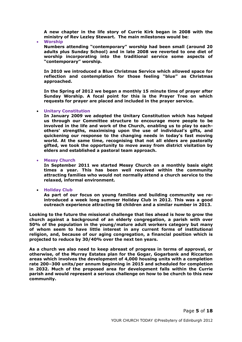**A new chapter in the life story of Currie Kirk began in 2008 with the ministry of Rev Lezley Stewart. The main milestones would be:**

**Worship**

**Numbers attending "contemporary" worship had been small (around 20 adults plus Sunday School) and in late 2008 we reverted to one diet of worship incorporating into the traditional service some aspects of "contemporary" worship.**

**In 2010 we introduced a Blue Christmas Service which allowed space for reflection and contemplation for those feeling "blue" as Christmas approached.**

**In the Spring of 2012 we began a monthly 15 minute time of prayer after Sunday Worship. A focal point for this is the Prayer Tree on which requests for prayer are placed and included in the prayer service.**

#### **Unitary Constitution**

**In January 2009 we adopted the Unitary Constitution which has helped us through our Committee structure to encourage more people to be involved in the life and work of the Church, enabling us to play to eachothers' strengths, maximising upon the use of individual's gifts, and quickening our response to the changing needs in today's fast moving world. At the same time, recognising that not all elders are pastorally gifted, we took the opportunity to move away from district visitation by elders and established a pastoral team approach.**

**Messy Church**

**In September 2011 we started Messy Church on a monthly basis eight times a year. This has been well received within the community attracting families who would not normally attend a church service to the relaxed, informal environment.**

#### **Holiday Club**

**As part of our focus on young families and building community we reintroduced a week long summer Holiday Club in 2012. This was a good outreach experience attracting 58 children and a similar number in 2013.**

**Looking to the future the missional challenge that lies ahead is how to grow the church against a background of an elderly congregation, a parish with over 50% of the population in the young/mature adult workers category but many of whom seem to have little interest in any current forms of institutional religion, and, because of our aging congregation, a financial position which is projected to reduce by 30/40% over the next ten years.**

**As a church we also need to keep abreast of progress in terms of approval, or otherwise, of the Murray Estates plan for the Gogar, Gogarbank and Riccarton areas which involves the development of 4,000 housing units with a completion rate 200–300 units/per annum beginning in 2015 and scheduled for completion in 2032. Much of the proposed area for development falls within the Currie parish and would represent a serious challenge on how to be church to this new community.**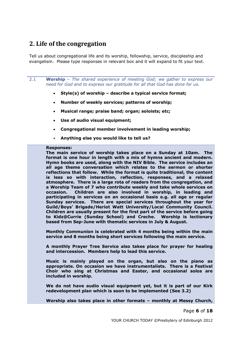## <span id="page-5-0"></span>**2. Life of the congregation**

Tell us about congregational life and its worship, fellowship, service, discipleship and evangelism. Please type responses in relevant box and it will expand to fit your text.

2.1 **Worship** *– The shared experience of meeting God; we gather to express our need for God and to express our gratitude for all that God has done for us.*

- **Style(s) of worship – describe a typical service format;**
- **Number of weekly services; patterns of worship;**
- **Musical range; praise band; organ; soloists; etc;**
- **Use of audio visual equipment;**
- **Congregational member involvement in leading worship;**
- **Anything else you would like to tell us?**

#### **Responses:**

**The main service of worship takes place on a Sunday at 10am. The format is one hour in length with a mix of hymns ancient and modern. Hymn books are used, along with the NIV Bible. The service includes an all age theme conversation which relates to the sermon or shorter reflections that follow. While the format is quite traditional, the content is less so with interaction, reflection, responses, and a relaxed atmosphere. There is a large rota of readers from the congregation, and a Worship Team of 7 who contribute weekly and take whole services on occasion. Children are also involved in worship, in leading and participating in services on an occasional basis e.g. all age or regular Sunday services. There are special services throughout the year for Guild/Boys' Brigade/Heriot Watt University/Local Community Council. Children are usually present for the first part of the service before going to Kidz@Currie (Sunday School) and Creche. Worship is lectionary based from Sep-June with thematic services in July & August.**

**Monthly Communion is celebrated with 4 months being within the main service and 8 months being short services following the main service.**

**A monthly Prayer Tree Service also takes place for prayer for healing and intercession. Members help to lead this service.**

**Music is mainly played on the organ, but also on the piano as appropriate. On occasion we have instrumentalists. There is a Festival Choir who sing at Christmas and Easter, and occasional solos are included in worship.** 

**We do not have audio visual equipment yet, but it is part of our Kirk redevelopment plan which is soon to be implemented (See 3.2)**

**Worship also takes place in other formats – monthly at Messy Church,** 

Page **6** of **18**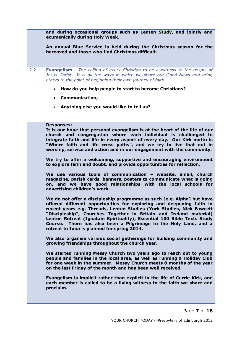**and during occasional groups such as Lenten Study, and jointly and ecumenically during Holy Week.**

**An annual Blue Service is held during the Christmas season for the bereaved and those who find Christmas difficult.**

2.2 **Evangelism -** *The calling of every Christian to be a witness to the gospel of Jesus Christ. It is all the ways in which we share our Good News and bring others to the point of beginning their own journey of faith.*

- **How do you help people to start to become Christians?**
- **Communication;**
- **Anything else you would like to tell us?**

#### **Responses:**

**It is our hope that personal evangelism is at the heart of the life of our church and congregation where each individual is challenged to integrate faith and life in every aspect of every day. Our Kirk motto is "Where faith and life cross paths", and we try to live that out in worship, service and action and in our engagement with the community.**

**We try to offer a welcoming, supportive and encouraging environment to explore faith and doubt, and provide opportunities for reflection.**

**We use various tools of communication – website, email, church magazine, parish cards, banners, posters to communicate what is going on, and we have good relationships with the local schools for advertising children's work.**

**We do not offer a discipleship programme as such [e.g. Alpha] but have offered different opportunities for exploring and deepening faith in recent years e.g. Threads, Lenten Studies (York Studies, Nick Fawcett "Discipleship", Churches Together in Britain and Ireland material) Lenten Retreat (Ignatain Spirituality), Essential 100 Bible Texts Study Course. There has also been a Pilgrimage to the Holy Land, and a retreat to Iona is planned for spring 2014.** 

**We also organise various social gatherings for building community and growing friendships throughout the church year.**

**We started running Messy Church two years ago to reach out to young people and families in the local area, as well as running a Holiday Club for one week in the summer. Messy Church meets 8 months of the year on the last Friday of the month and has been well received.**

**Evangelism is implicit rather than explicit in the life of Currie Kirk, and each member is called to be a living witness to the faith we share and proclaim.**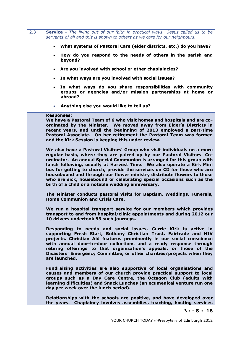2.3 **Service -** *The living out of our faith in practical ways. Jesus called us to be servants of all and this is shown to others as we care for our neighbours.*

- **What systems of Pastoral Care (elder districts, etc.) do you have?**
- **How do you respond to the needs of others in the parish and beyond?**
- **Are you involved with school or other chaplaincies?**
- **In what ways are you involved with social issues?**
- **In what ways do you share responsibilities with community groups or agencies and/or mission partnerships at home or abroad?**
- **Anything else you would like to tell us?**

#### **Responses:**

**We have a Pastoral Team of 6 who visit homes and hospitals and are coordinated by the Minister. We moved away from Elder's Districts in recent years, and until the beginning of 2013 employed a part-time Pastoral Associate. On her retirement the Pastoral Team was formed and the Kirk Session is keeping this under review.**

**We also have a Pastoral Visitors' Group who visit individuals on a more regular basis, where they are paired up by our Pastoral Visitors' Coordinator. An annual Special Communion is arranged for this group with lunch following, usually at Harvest Time. We also operate a Kirk Mini bus for getting to church, provide the services on CD for those who are housebound and through our flower ministry distribute flowers to those who are sick, housebound or celebrating special occasions such as the birth of a child or a notable wedding anniversary.**

**The Minister conducts pastoral visits for Baptism, Weddings, Funerals, Home Communion and Crisis Care.**

**We run a hospital transport service for our members which provides transport to and from hospital/clinic appointments and during 2012 our 10 drivers undertook 53 such journeys.**

**Responding to needs and social issues, Currie Kirk is active in supporting Fresh Start, Bethany Christian Trust, Fairtrade and HIV projects. Christian Aid features prominently in our social conscience with annual door-to-door collections and a ready response through retiring offerings to that organisation's appeals, or those of the Disasters' Emergency Committee, or other charities/projects when they are launched.** 

**Fundraising activities are also supportive of local organisations and causes and members of our church provide practical support to local groups such as a Day Care Centre, the Octagon Club (adults with learning difficulties) and Snack Lunches (an ecumenical venture run one day per week over the lunch period).**

**Relationships with the schools are positive, and have developed over the years. Chaplaincy involves assemblies, teaching, hosting services** 

Page **8** of **18**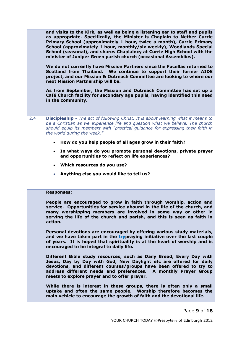**and visits to the Kirk, as well as being a listening ear to staff and pupils as appropriate. Specifically, the Minister is Chaplain to Nether Currie Primary School (approximately 1 hour, twice a month), Currie Primary School (approximately 1 hour, monthly/six weekly), Woodlands Special School (seasonal), and shares Chaplaincy at Currie High School with the minister of Juniper Green parish church (occasional Assemblies).** 

**We do not currently have Mission Partners since the Fucellas returned to Scotland from Thailand. We continue to support their former AIDS project, and our Mission & Outreach Committee are looking to where our next Mission Partnership will be.** 

**As from September, the Mission and Outreach Committee has set up a Café Church facility for secondary age pupils, having identified this need in the community.**

- 2.4 **Discipleship -** *The act of following Christ. It is about learning what it means to be a Christian as we experience life and question what we believe. The church should equip its members with "practical guidance for expressing their faith in the world during the week."*
	- **How do you help people of all ages grow in their faith?**
	- **In what ways do you promote personal devotions, private prayer and opportunities to reflect on life experiences?**
	- **Which resources do you use?**
	- **Anything else you would like to tell us?**

#### **Responses:**

**People are encouraged to grow in faith through worship, action and service. Opportunities for service abound in the life of the church, and many worshipping members are involved in some way or other in serving the life of the church and parish, and this is seen as faith in action.**

**Personal devotions are encouraged by offering various study materials, and we have taken part in the trypraying initiative over the last couple of years. It is hoped that spirituality is at the heart of worship and is encouraged to be integral to daily life.**

**Different Bible study resources, such as Daily Bread, Every Day with Jesus, Day by Day with God, New Daylight etc are offered for daily devotions, and different courses/groups have been offered to try to address different needs and preferences. A monthly Prayer Group meets to explore prayer and to offer prayer.** 

**While there is interest in these groups, there is often only a small uptake and often the same people. Worship therefore becomes the main vehicle to encourage the growth of faith and the devotional life.**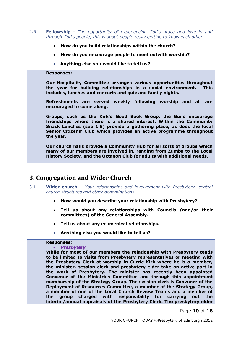- 2.5 **Fellowship -** *The opportunity of experiencing God's grace and love in and through God's people; this is about people really getting to know each other.*
	- **How do you build relationships within the church?**
	- **How do you encourage people to meet outwith worship?**
	- **Anything else you would like to tell us?**

#### **Responses:**

**Our Hospitality Committee arranges various opportunities throughout the year for building relationships in a social environment. This includes, lunches and concerts and quiz and family nights.** 

**Refreshments are served weekly following worship and all are encouraged to come along.** 

**Groups, such as the Kirk's Good Book Group, the Guild encourage friendships where there is a shared interest. Within the Community Snack Lunches (see 1.5) provide a gathering place, as does the local Senior Citizens' Club which provides an active programme throughout the year.**

**Our church halls provide a Community Hub for all sorts of groups which many of our members are involved in, ranging from Zumba to the Local History Society, and the Octagon Club for adults with additional needs.**

## <span id="page-9-0"></span>**3. Congregation and Wider Church**

- 3.1 **Wider church –** *Your relationships and involvement with Presbytery, central church structures and other denominations.*
	- **How would you describe your relationship with Presbytery?**
	- **Tell us about any relationships with Councils (and/or their committees) of the General Assembly.**
	- **Tell us about any ecumenical relationships.**
	- **Anything else you would like to tell us?**

#### **Responses:**

#### *Presbytery*

**While for most of our members the relationship with Presbytery tends to be limited to visits from Presbytery representatives or meeting with the Presbytery Clerk at worship in Currie Kirk where he is a member, the minister, session clerk and presbytery elder take an active part in the work of Presbytery. The minister has recently been appointed Convener of the Ministries Committee and through this appointment membership of the Strategy Group. The session clerk is Convener of the Deployment of Resources Committee, a member of the Strategy Group, a member of one of the Local Church Review Teams and a member of the group charged with responsibility for carrying out the interim/annual appraisals of the Presbytery Clerk. The presbytery elder** 

Page **10** of **18**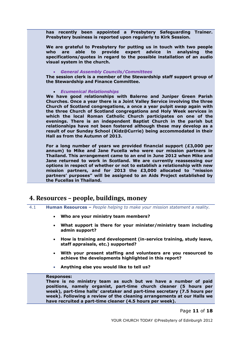**has recently been appointed a Presbytery Safeguarding Trainer. Presbytery business is reported upon regularly to Kirk Session.**

**We are grateful to Presbytery for putting us in touch with two people who are able to provide expert advice in analysing the specifications/quotes in regard to the possible installation of an audio visual system in the church.**

#### *General Assembly Councils/Committees*

**The session clerk is a member of the Stewardship staff support group of the Stewardship and Finance Committee.**

#### *Ecumenical Relationships*

**We have good relationships with Balerno and Juniper Green Parish Churches. Once a year there is a Joint Valley Service involving the three Church of Scotland congregations, a once a year pulpit swap again with the three Church of Scotland congregations and Holy Week services in which the local Roman Catholic Church participates on one of the evenings. There is an independent Baptist Church in the parish but relationships have not been fostered although these may develop as a result of our Sunday School (Kidz@Currie) being accommodated in their Hall as from the Autumn of 2013.**

**For a long number of years we provided financial support (£3,000 per annum) to Mike and Jane Fucella who were our mission partners in Thailand. This arrangement came to an end in June 2012 when Mike and Jane returned to work in Scotland. We are currently reassessing our options in respect of whether or not to establish a relationship with new mission partners, and for 2013 the £3,000 allocated to "mission partners' purposes" will be assigned to an Aids Project established by the Fucellas in Thailand.**

### <span id="page-10-0"></span>**4. Resources – people, buildings, money**

- 4.1 **Human Resources –** *People helping to make your mission statement a reality.* 
	- **Who are your ministry team members?**
	- **What support is there for your minister/ministry team including admin support?**
	- **How is training and development (in-service training, study leave, staff appraisals, etc.) supported?**
	- **With your present staffing and volunteers are you resourced to achieve the developments highlighted in this report?**
	- **Anything else you would like to tell us?**

#### **Responses:**

**There is no ministry team as such but we have a number of paid positions, namely organist, part-time church cleaner (5 hours per week), part-time halls' caretaker and part-time secretary (7.5 hours per week). Following a review of the cleaning arrangements at our Halls we have recruited a part-time cleaner (4.5 hours per week).**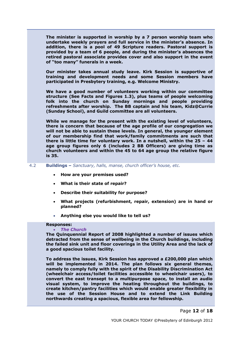**The minister is supported in worship by a 7 person worship team who undertake weekly prayers and full service in the minister's absence. In addition, there is a pool of 49 Scripture readers. Pastoral support is provided by a team of 6 people, and during the minister's absences the retired pastoral associate provides cover and also support in the event of "too many" funerals in a week.**

**Our minister takes annual study leave. Kirk Session is supportive of training and development needs and some Session members have participated in Presbytery training, e.g. Welcome Ministry.**

**We have a good number of volunteers working within our committee structure (See Facts and Figures 1.3), plus teams of people welcoming folk into the church on Sunday mornings and people providing refreshments after worship. The BB captain and his team, Kidz@Currie (Sunday School), and Guild committee are all volunteers.** 

**While we manage for the present with the existing level of volunteers, there is concern that because of the age profile of our congregation we will not be able to sustain these levels. In general, the younger element of our membership find that work/family commitments are such that there is little time for voluntary work. In a nutshell, within the 25 – 44 age group figures only 6 (includes 2 BB Officers) are giving time as church volunteers and within the 45 to 64 age group the relative figure is 35.**

4.2 **Buildings –** *Sanctuary, halls, manse, church officer's house, etc.*

- **How are your premises used?**
- **What is their state of repair?**
- **Describe their suitability for purpose?**
- **What projects (refurbishment, repair, extension) are in hand or planned?**
- **Anything else you would like to tell us?**

#### **Responses:**

#### *The Church*

**The Quinquennial Report of 2008 highlighted a number of issues which detracted from the sense of wellbeing in the Church buildings, including th***e* **failed sink unit and floor coverings in the Utility Area and the lack of a good spacious toilet facility.** 

**To address the issues, Kirk Session has approved a £200,000 plan which will be implemented in 2014. The plan follows six general themes, namely to comply fully with the spirit of the Disability Discrimination Act (wheelchair access/toilet facilities accessible to wheelchair users), to convert the east transept to a multipurpose space, to install an audio visual system, to improve the heating throughout the buildings, to create kitchen/pantry facilities which would enable greater flexibility in the use of the Session House and to extend the Link Building northwards creating a spacious, flexible area for fellowship.**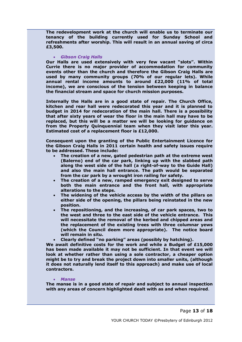**The redevelopment work at the church will enable us to terminate our tenancy of the building currently used for Sunday School and refreshments after worship. This will result in an annual saving of circa £3,500.**

#### *Gibson Craig Halls*

**Our Halls are used extensively with very few vacant "slots". Within Currie there is no major provider of accommodation for community events other than the church and therefore the Gibson Craig Halls are used by many community groups (70% of our regular lets). While annual rental income amounts to around £22,000 (11% of total income), we are conscious of the tension between keeping in balance the financial stream and space for church mission purposes.** 

**Internally the Halls are in a good state of repair. The Church Office, kitchen and rear hall were redecorated this year and it is planned to budget in 2014 for redecoration of the main hall. There is a possibility that after sixty years of wear the floor in the main hall may have to be replaced, but this will be a matter we will be looking for guidance on from the Property Quinquennial team when they visit later this year. Estimated cost of a replacement floor is £12,000.**

**Consequent upon the granting of the Public Entertainment Licence for the Gibson Craig Halls in 2011 certain health and safety issues require to be addressed. These include:**

- **The creation of a new, gated pedestrian path at the extreme west (Balerno) end of the car park, linking up with the slabbed path along the west side of the hall (a right-of-way to the Guide Hall) and also the main hall entrance. The path would be separated from the car park by a wrought iron railing for safety.**
- **The creation of a new, ramped emergency exit designed to serve both the main entrance and the front hall, with appropriate alterations to the steps.**
- **The widening of the vehicle access by the width of the pillars on either side of the opening, the pillars being reinstated in the new position.**
- **The repositioning, and the increasing, of car park spaces, two to the west and three to the east side of the vehicle entrance. This will necessitate the removal of the kerbed and chipped areas and the replacement of the existing trees with three columnar yews (which the Council deem more appropriate). The notice board will remain in situ.**
- **Clearly defined "no parking" areas (possibly by hatching).**

**We await definitive costs for the work and while a Budget of £15,000 has been made available it may not be sufficient. In that event we will look at whether rather than using a sole contractor, a cheaper option might be to try and break the project down into smaller units, (although it does not naturally lend itself to this approach) and make use of local contractors.**

#### *Manse*

**The manse is in a good state of repair and subject to annual inspection with any areas of concern highlighted dealt with as and when required**.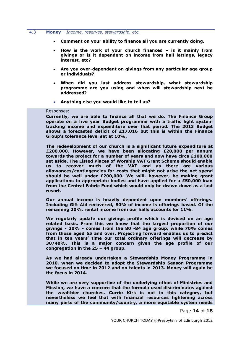#### 4.3 **Money** – *Income, reserves, stewardship, etc.*

- **Comment on your ability to finance all you are currently doing.**
- **How is the work of your church financed – is it mainly from givings or is it dependent on income from hall lettings, legacy interest, etc?**
- **Are you over-dependent on givings from any particular age group or individuals?**
- **When did you last address stewardship, what stewardship programme are you using and when will stewardship next be addressed?**
- **Anything else you would like to tell us?**

#### Responses:

**Currently, we are able to finance all that we do. The Finance Group operate on a five year Budget programme with a traffic light system tracking income and expenditure over that period. The 2013 Budget shows a forecasted deficit of £17,016 but this is within the Finance Group's tolerance level set at 10%.**

**The redevelopment of our church is a significant future expenditure at £200,000. However, we have been allocating £20,000 per annum towards the project for a number of years and now have circa £100,000 set aside. The Listed Places of Worship VAT Grant Scheme should enable us to recover much of the VAT and as there are various allowances/contingencies for costs that might not arise the net spend should be well under £200,000. We will, however, be making grant applications to appropriate bodies and have applied for a £50,000 loan from the Central Fabric Fund which would only be drawn down as a last resort.**

**Our annual income is heavily dependent upon members' offerings. Including Gift Aid recovered, 80% of income is offerings based. Of the remaining 20%, rental income from our halls accounts for 11%.**

**We regularly update our givings profile which is devised on an age related basis. From this we know that the largest proportion of our givings - 20% - comes from the 80 -84 age group, while 70% comes from those aged 65 and over. Projecting forward enables us to predict that in ten years' time our total ordinary offerings will decrease by 30/40%. This is a major concern given the age profile of our congregation in the 25 – 44 group.**

**As we had already undertaken a Stewardship Money Programme in 2010, when we decided to adopt the Stewardship Season Programme we focused on time in 2012 and on talents in 2013. Money will again be the focus in 2014.**

**While we are very supportive of the underlying ethos of Ministries and Mission, we have a concern that the formula used discriminates against the wealthier churches. Currie Kirk is not in this category, but nevertheless we feel that with financial resources tightening across many parts of the community/country, a more equitable system needs** 

Page **14** of **18**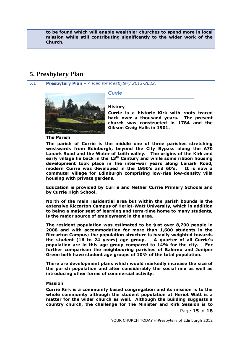**to be found which will enable wealthier churches to spend more in local mission while still contributing significantly to the wider work of the Church.**

## <span id="page-14-0"></span>**5. Presbytery Plan**

5.1 **Presbytery Plan** *– A Plan for Presbytery 2012-2022.*

*Currie*



#### **History**

**Currie is a historic Kirk with roots traced back over a thousand years. The present church was constructed in 1784 and the Gibson Craig Halls in 1901.** 

**The Parish**

**The parish of Currie is the middle one of three parishes stretching westwards from Edinburgh, beyond the City Bypass along the A70 Lanark Road and the Water of Leith valley. The origins of the Kirk and early village lie back in the 13th Century and while some ribbon housing development took place in the inter-war years along Lanark Road, modern Currie was developed in the 1950's and 60's. It is now a commuter village for Edinburgh comprising low-rise low-density villa housing with private gardens.**

**Education is provided by Currie and Nether Currie Primary Schools and by Currie High School.**

**North of the main residential area but within the parish bounds is the extensive Riccarton Campus of Heriot-Watt University, which in addition to being a major seat of learning and term-time home to many students, is the major source of employment in the area.**

**The resident population was estimated to be just over 8,700 people in 2008 and with accommodation for more than 1,600 students in the Riccarton Campus; the population structure is heavily weighted towards the student (16 to 24 years) age group. A quarter of all Currie's population are in this age group compared to 14% for the city. For further comparison the neighbouring parishes of Balerno and Juniper Green both have student age groups of 10% of the total population.**

**There are development plans which would markedly increase the size of the parish population and alter considerably the social mix as well as introducing other forms of commercial activity.**

#### **Mission**

**Currie Kirk is a community based congregation and its mission is to the whole community although the student population at Heriot Watt is a matter for the wider church as well. Although the building suggests a country church, the challenge for the Minister and Kirk Session is to** 

Page **15** of **18**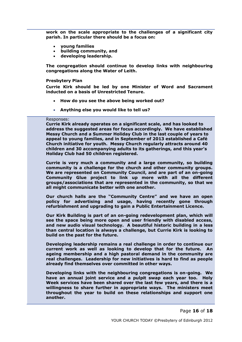**work on the scale appropriate to the challenges of a significant city parish. In particular there should be a focus on:**

- **young families**
- **building community, and**
- **developing leadership.**

**The congregation should continue to develop links with neighbouring congregations along the Water of Leith.**

#### **Presbytery Plan**

**Currie Kirk should be led by one Minister of Word and Sacrament inducted on a basis of Unrestricted Tenure.**

- **How do you see the above being worked out?**
- **Anything else you would like to tell us?**

#### Responses:

**Currie Kirk already operates on a significant scale, and has looked to address the suggested areas for focus accordingly. We have established Messy Church and a Summer Holiday Club in the last couple of years to appeal to young families, and in September of 2013 established a Café Church initiative for youth. Messy Church regularly attracts around 40 children and 30 accompanying adults to its gatherings, and this year's Holiday Club had 50 children registered.**

**Currie is very much a community and a large community, so building community is a challenge for the church and other community groups. We are represented on Community Council, and are part of an on-going Community Glue project to link up more with all the different groups/associations that are represented in the community, so that we all might communicate better with one another.**

**Our church halls are the "Community Centre" and we have an open policy for advertising and usage, having recently gone through refurbishment and upgrading to gain a Public Entertainment Licence.**

**Our Kirk Building is part of an on-going redevelopment plan, which will see the space being more open and user friendly with disabled access, and new audio visual technology. A beautiful historic building in a less than central location is always a challenge, but Currie Kirk is looking to build on the past for the future.** 

**Developing leadership remains a real challenge in order to continue our current work as well as looking to develop that for the future. An ageing membership and a high pastoral demand in the community are real challenges. Leadership for new initiatives is hard to find as people already find themselves over committed in other ways.**

**Developing links with the neighbouring congregations is on-going. We have an annual joint service and a pulpit swap each year too. Holy Week services have been shared over the last few years, and there is a willingness to share further in appropriate ways. The ministers meet throughout the year to build on these relationships and support one another.**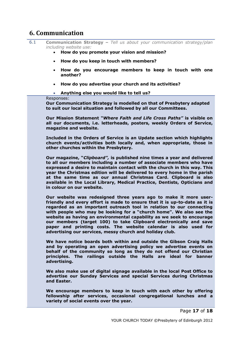## <span id="page-16-0"></span>**6. Communication**

6.1 **Communication Strategy –** *Tell us about your communication strategy/plan including website use:*

- **How do you promote your vision and mission?**
- **How do you keep in touch with members?**
- **How do you encourage members to keep in touch with one another?**
- **How do you advertise your church and its activities?**
- **Anything else you would like to tell us?**

#### Responses:

**Our Communication Strategy is modelled on that of Presbytery adapted to suit our local situation and followed by all our Committees.** 

**Our Mission Statement** *"Where Faith and Life Cross Paths"* **is visible on all our documents, i.e. letterheads, posters, weekly Orders of Service, magazine and website.**

**Included in the Orders of Service is an Update section which highlights church events/activities both locally and, when appropriate, those in other churches within the Presbytery.** 

**Our magazine, "***Clipboard",* **is published nine times a year and delivered to all our members including a number of associate members who have expressed a desire to maintain contact with the church in this way. This year the Christmas edition will be delivered to every home in the parish at the same time as our annual Christmas Card. Clipboard is also available in the Local Library, Medical Practice, Dentists, Opticians and in colour on our website.**

**Our website was redesigned three years ago to make it more userfriendly and every effort is made to ensure that it is up-to-date as it is regarded as an important outreach tool in relation to our connecting with people who may be looking for a "church home". We also see the website as having an environmental capability as we seek to encourage our members (target 100) to take Clipboard electronically and save paper and printing costs. The website calendar is also used for advertising our services, messy church and holiday club.**

**We have notice boards both within and outside the Gibson Craig Halls and by operating an open advertising policy we advertise events on behalf of the community so long as they do not offend our Christian principles. The railings outside the Halls are ideal for banner advertising.**

**We also make use of digital signage available in the local Post Office to advertise our Sunday Services and special Services during Christmas and Easter.**

**We encourage members to keep in touch with each other by offering fellowship after services, occasional congregational lunches and a variety of social events over the year.**